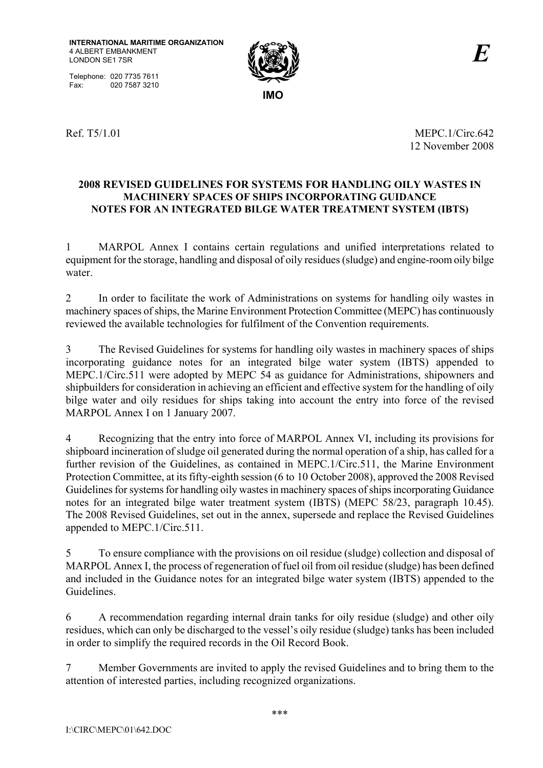Telephone: 020 7735 7611<br>Fax: 020 7587 3210 020 7587 3210



Ref. T5/1.01 MEPC.1/Circ.642 12 November 2008

### **2008 REVISED GUIDELINES FOR SYSTEMS FOR HANDLING OILY WASTES IN MACHINERY SPACES OF SHIPS INCORPORATING GUIDANCE NOTES FOR AN INTEGRATED BILGE WATER TREATMENT SYSTEM (IBTS)**

1 MARPOL Annex I contains certain regulations and unified interpretations related to equipment for the storage, handling and disposal of oily residues (sludge) and engine-room oily bilge water.

2 In order to facilitate the work of Administrations on systems for handling oily wastes in machinery spaces of ships, the Marine Environment Protection Committee (MEPC) has continuously reviewed the available technologies for fulfilment of the Convention requirements.

3 The Revised Guidelines for systems for handling oily wastes in machinery spaces of ships incorporating guidance notes for an integrated bilge water system (IBTS) appended to MEPC.1/Circ.511 were adopted by MEPC 54 as guidance for Administrations, shipowners and shipbuilders for consideration in achieving an efficient and effective system for the handling of oily bilge water and oily residues for ships taking into account the entry into force of the revised MARPOL Annex I on 1 January 2007.

4 Recognizing that the entry into force of MARPOL Annex VI, including its provisions for shipboard incineration of sludge oil generated during the normal operation of a ship, has called for a further revision of the Guidelines, as contained in MEPC.1/Circ.511, the Marine Environment Protection Committee, at its fifty-eighth session (6 to 10 October 2008), approved the 2008 Revised Guidelines for systems for handling oily wastes in machinery spaces of ships incorporating Guidance notes for an integrated bilge water treatment system (IBTS) (MEPC 58/23, paragraph 10.45). The 2008 Revised Guidelines, set out in the annex, supersede and replace the Revised Guidelines appended to MEPC.1/Circ.511.

5 To ensure compliance with the provisions on oil residue (sludge) collection and disposal of MARPOL Annex I, the process of regeneration of fuel oil from oil residue (sludge) has been defined and included in the Guidance notes for an integrated bilge water system (IBTS) appended to the Guidelines.

6 A recommendation regarding internal drain tanks for oily residue (sludge) and other oily residues, which can only be discharged to the vessel's oily residue (sludge) tanks has been included in order to simplify the required records in the Oil Record Book.

7 Member Governments are invited to apply the revised Guidelines and to bring them to the attention of interested parties, including recognized organizations.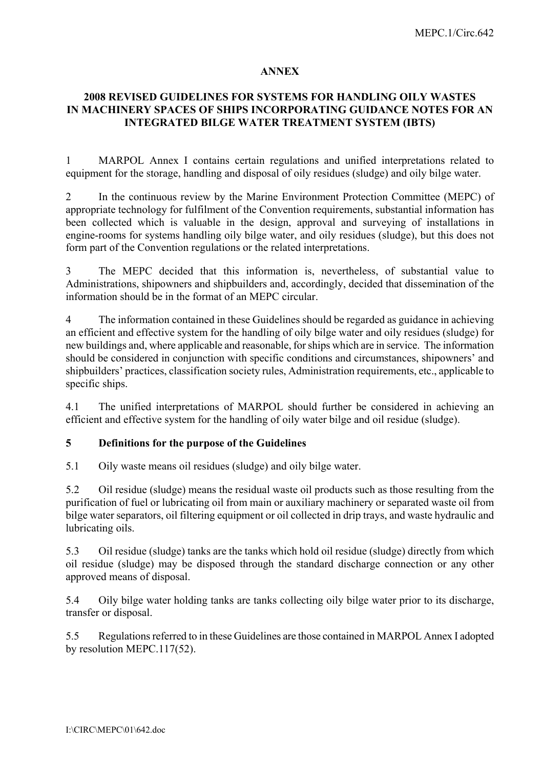#### **ANNEX**

## **2008 REVISED GUIDELINES FOR SYSTEMS FOR HANDLING OILY WASTES IN MACHINERY SPACES OF SHIPS INCORPORATING GUIDANCE NOTES FOR AN INTEGRATED BILGE WATER TREATMENT SYSTEM (IBTS)**

1 MARPOL Annex I contains certain regulations and unified interpretations related to equipment for the storage, handling and disposal of oily residues (sludge) and oily bilge water.

2 In the continuous review by the Marine Environment Protection Committee (MEPC) of appropriate technology for fulfilment of the Convention requirements, substantial information has been collected which is valuable in the design, approval and surveying of installations in engine-rooms for systems handling oily bilge water, and oily residues (sludge), but this does not form part of the Convention regulations or the related interpretations.

3 The MEPC decided that this information is, nevertheless, of substantial value to Administrations, shipowners and shipbuilders and, accordingly, decided that dissemination of the information should be in the format of an MEPC circular.

4 The information contained in these Guidelines should be regarded as guidance in achieving an efficient and effective system for the handling of oily bilge water and oily residues (sludge) for new buildings and, where applicable and reasonable, for ships which are in service. The information should be considered in conjunction with specific conditions and circumstances, shipowners' and shipbuilders' practices, classification society rules, Administration requirements, etc., applicable to specific ships.

4.1 The unified interpretations of MARPOL should further be considered in achieving an efficient and effective system for the handling of oily water bilge and oil residue (sludge).

## **5 Definitions for the purpose of the Guidelines**

5.1 Oily waste means oil residues (sludge) and oily bilge water.

5.2 Oil residue (sludge) means the residual waste oil products such as those resulting from the purification of fuel or lubricating oil from main or auxiliary machinery or separated waste oil from bilge water separators, oil filtering equipment or oil collected in drip trays, and waste hydraulic and lubricating oils.

5.3 Oil residue (sludge) tanks are the tanks which hold oil residue (sludge) directly from which oil residue (sludge) may be disposed through the standard discharge connection or any other approved means of disposal.

5.4 Oily bilge water holding tanks are tanks collecting oily bilge water prior to its discharge, transfer or disposal.

5.5 Regulations referred to in these Guidelines are those contained in MARPOL Annex I adopted by resolution MEPC.117(52).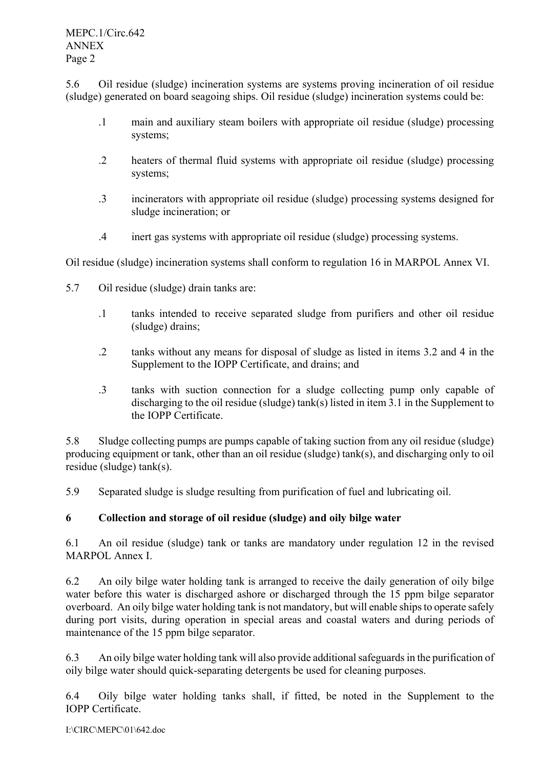5.6 Oil residue (sludge) incineration systems are systems proving incineration of oil residue (sludge) generated on board seagoing ships. Oil residue (sludge) incineration systems could be:

- .1 main and auxiliary steam boilers with appropriate oil residue (sludge) processing systems;
- .2 heaters of thermal fluid systems with appropriate oil residue (sludge) processing systems;
- .3 incinerators with appropriate oil residue (sludge) processing systems designed for sludge incineration; or
- .4 inert gas systems with appropriate oil residue (sludge) processing systems.

Oil residue (sludge) incineration systems shall conform to regulation 16 in MARPOL Annex VI.

- 5.7 Oil residue (sludge) drain tanks are:
	- .1 tanks intended to receive separated sludge from purifiers and other oil residue (sludge) drains;
	- .2 tanks without any means for disposal of sludge as listed in items 3.2 and 4 in the Supplement to the IOPP Certificate, and drains; and
	- .3 tanks with suction connection for a sludge collecting pump only capable of discharging to the oil residue (sludge) tank(s) listed in item 3.1 in the Supplement to the IOPP Certificate.

5.8 Sludge collecting pumps are pumps capable of taking suction from any oil residue (sludge) producing equipment or tank, other than an oil residue (sludge) tank(s), and discharging only to oil residue (sludge) tank(s).

5.9 Separated sludge is sludge resulting from purification of fuel and lubricating oil.

# **6 Collection and storage of oil residue (sludge) and oily bilge water**

6.1 An oil residue (sludge) tank or tanks are mandatory under regulation 12 in the revised MARPOL Annex I.

6.2 An oily bilge water holding tank is arranged to receive the daily generation of oily bilge water before this water is discharged ashore or discharged through the 15 ppm bilge separator overboard. An oily bilge water holding tank is not mandatory, but will enable ships to operate safely during port visits, during operation in special areas and coastal waters and during periods of maintenance of the 15 ppm bilge separator.

6.3 An oily bilge water holding tank will also provide additional safeguards in the purification of oily bilge water should quick-separating detergents be used for cleaning purposes.

6.4 Oily bilge water holding tanks shall, if fitted, be noted in the Supplement to the IOPP Certificate.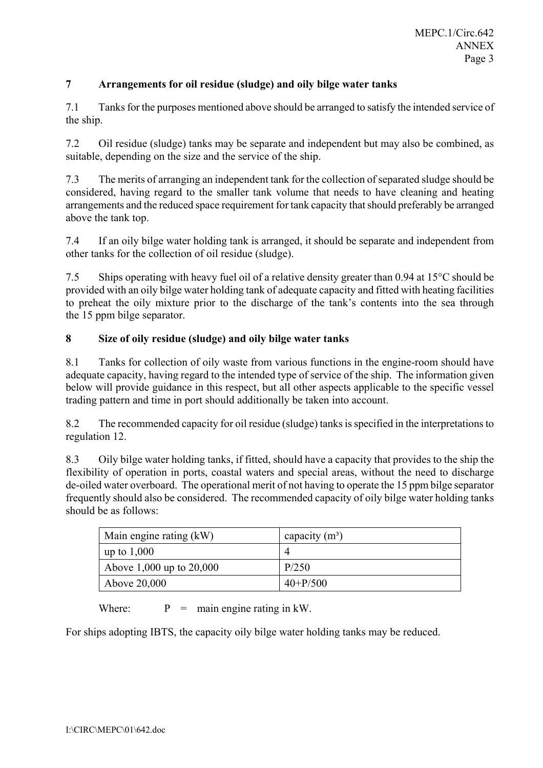## **7 Arrangements for oil residue (sludge) and oily bilge water tanks**

7.1 Tanks for the purposes mentioned above should be arranged to satisfy the intended service of the ship.

7.2 Oil residue (sludge) tanks may be separate and independent but may also be combined, as suitable, depending on the size and the service of the ship.

7.3 The merits of arranging an independent tank for the collection of separated sludge should be considered, having regard to the smaller tank volume that needs to have cleaning and heating arrangements and the reduced space requirement for tank capacity that should preferably be arranged above the tank top.

7.4 If an oily bilge water holding tank is arranged, it should be separate and independent from other tanks for the collection of oil residue (sludge).

7.5 Ships operating with heavy fuel oil of a relative density greater than 0.94 at 15°C should be provided with an oily bilge water holding tank of adequate capacity and fitted with heating facilities to preheat the oily mixture prior to the discharge of the tank's contents into the sea through the 15 ppm bilge separator.

## **8 Size of oily residue (sludge) and oily bilge water tanks**

8.1 Tanks for collection of oily waste from various functions in the engine-room should have adequate capacity, having regard to the intended type of service of the ship. The information given below will provide guidance in this respect, but all other aspects applicable to the specific vessel trading pattern and time in port should additionally be taken into account.

8.2 The recommended capacity for oil residue (sludge) tanks is specified in the interpretations to regulation 12.

8.3 Oily bilge water holding tanks, if fitted, should have a capacity that provides to the ship the flexibility of operation in ports, coastal waters and special areas, without the need to discharge de-oiled water overboard. The operational merit of not having to operate the 15 ppm bilge separator frequently should also be considered. The recommended capacity of oily bilge water holding tanks should be as follows:

| Main engine rating (kW)    | capacity $(m^3)$ |
|----------------------------|------------------|
| up to $1,000$              |                  |
| Above 1,000 up to $20,000$ | P/250            |
| Above 20,000               | $40 + P/500$     |

Where:  $P = \text{main engine rating in kW.}$ 

For ships adopting IBTS, the capacity oily bilge water holding tanks may be reduced.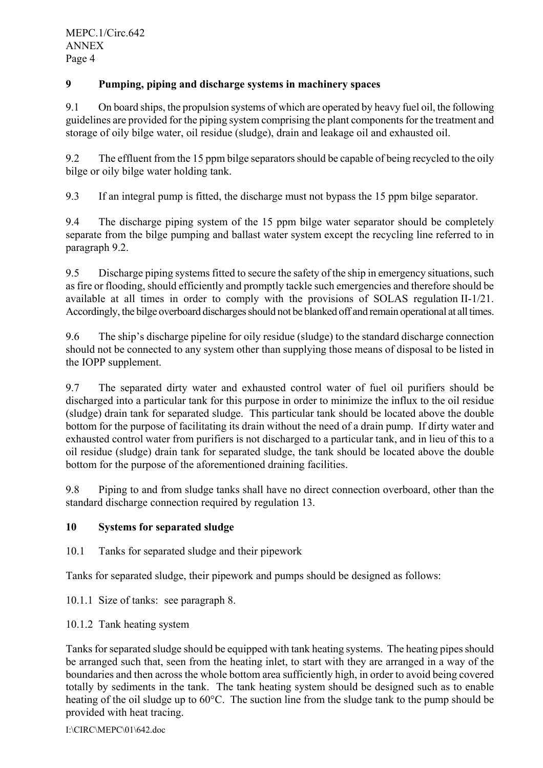# **9 Pumping, piping and discharge systems in machinery spaces**

9.1 On board ships, the propulsion systems of which are operated by heavy fuel oil, the following guidelines are provided for the piping system comprising the plant components for the treatment and storage of oily bilge water, oil residue (sludge), drain and leakage oil and exhausted oil.

9.2 The effluent from the 15 ppm bilge separators should be capable of being recycled to the oily bilge or oily bilge water holding tank.

9.3 If an integral pump is fitted, the discharge must not bypass the 15 ppm bilge separator.

9.4 The discharge piping system of the 15 ppm bilge water separator should be completely separate from the bilge pumping and ballast water system except the recycling line referred to in paragraph 9.2.

9.5 Discharge piping systems fitted to secure the safety of the ship in emergency situations, such as fire or flooding, should efficiently and promptly tackle such emergencies and therefore should be available at all times in order to comply with the provisions of SOLAS regulation II-1/21. Accordingly, the bilge overboard discharges should not be blanked off and remain operational at all times.

9.6 The ship's discharge pipeline for oily residue (sludge) to the standard discharge connection should not be connected to any system other than supplying those means of disposal to be listed in the IOPP supplement.

9.7 The separated dirty water and exhausted control water of fuel oil purifiers should be discharged into a particular tank for this purpose in order to minimize the influx to the oil residue (sludge) drain tank for separated sludge. This particular tank should be located above the double bottom for the purpose of facilitating its drain without the need of a drain pump. If dirty water and exhausted control water from purifiers is not discharged to a particular tank, and in lieu of this to a oil residue (sludge) drain tank for separated sludge, the tank should be located above the double bottom for the purpose of the aforementioned draining facilities.

9.8 Piping to and from sludge tanks shall have no direct connection overboard, other than the standard discharge connection required by regulation 13.

## **10 Systems for separated sludge**

10.1 Tanks for separated sludge and their pipework

Tanks for separated sludge, their pipework and pumps should be designed as follows:

10.1.1 Size of tanks: see paragraph 8.

10.1.2 Tank heating system

Tanks for separated sludge should be equipped with tank heating systems. The heating pipes should be arranged such that, seen from the heating inlet, to start with they are arranged in a way of the boundaries and then across the whole bottom area sufficiently high, in order to avoid being covered totally by sediments in the tank. The tank heating system should be designed such as to enable heating of the oil sludge up to 60°C. The suction line from the sludge tank to the pump should be provided with heat tracing.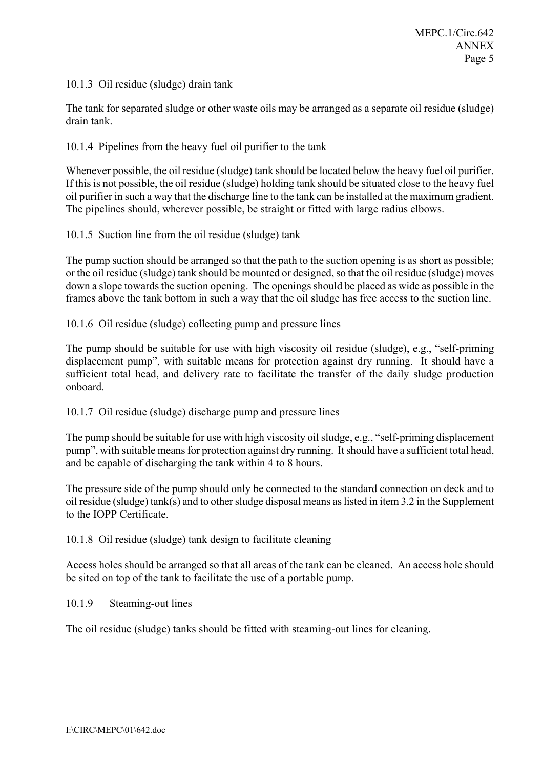10.1.3 Oil residue (sludge) drain tank

The tank for separated sludge or other waste oils may be arranged as a separate oil residue (sludge) drain tank.

10.1.4 Pipelines from the heavy fuel oil purifier to the tank

Whenever possible, the oil residue (sludge) tank should be located below the heavy fuel oil purifier. If this is not possible, the oil residue (sludge) holding tank should be situated close to the heavy fuel oil purifier in such a way that the discharge line to the tank can be installed at the maximum gradient. The pipelines should, wherever possible, be straight or fitted with large radius elbows.

10.1.5 Suction line from the oil residue (sludge) tank

The pump suction should be arranged so that the path to the suction opening is as short as possible; or the oil residue (sludge) tank should be mounted or designed, so that the oil residue (sludge) moves down a slope towards the suction opening. The openings should be placed as wide as possible in the frames above the tank bottom in such a way that the oil sludge has free access to the suction line.

10.1.6 Oil residue (sludge) collecting pump and pressure lines

The pump should be suitable for use with high viscosity oil residue (sludge), e.g., "self-priming displacement pump", with suitable means for protection against dry running. It should have a sufficient total head, and delivery rate to facilitate the transfer of the daily sludge production onboard.

10.1.7 Oil residue (sludge) discharge pump and pressure lines

The pump should be suitable for use with high viscosity oil sludge, e.g., "self-priming displacement pump", with suitable means for protection against dry running. It should have a sufficient total head, and be capable of discharging the tank within 4 to 8 hours.

The pressure side of the pump should only be connected to the standard connection on deck and to oil residue (sludge) tank(s) and to other sludge disposal means as listed in item 3.2 in the Supplement to the IOPP Certificate.

10.1.8 Oil residue (sludge) tank design to facilitate cleaning

Access holes should be arranged so that all areas of the tank can be cleaned. An access hole should be sited on top of the tank to facilitate the use of a portable pump.

#### 10.1.9 Steaming-out lines

The oil residue (sludge) tanks should be fitted with steaming-out lines for cleaning.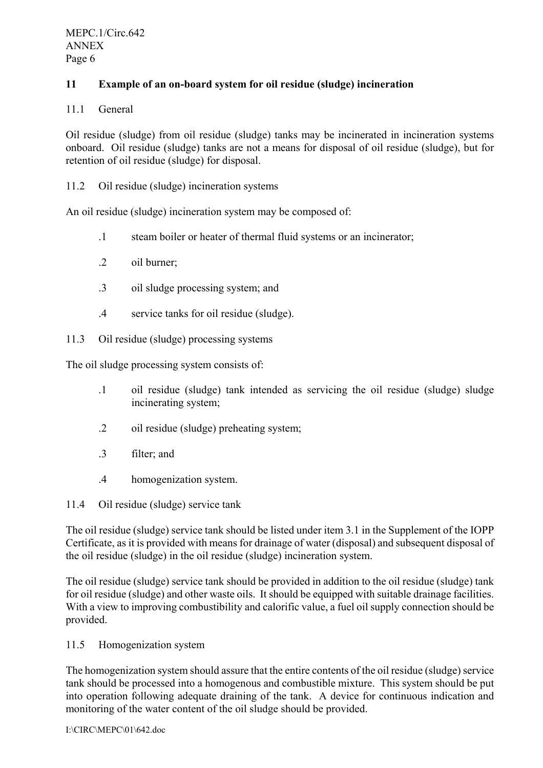## **11 Example of an on-board system for oil residue (sludge) incineration**

### 11.1 General

Oil residue (sludge) from oil residue (sludge) tanks may be incinerated in incineration systems onboard. Oil residue (sludge) tanks are not a means for disposal of oil residue (sludge), but for retention of oil residue (sludge) for disposal.

11.2 Oil residue (sludge) incineration systems

An oil residue (sludge) incineration system may be composed of:

- .1 steam boiler or heater of thermal fluid systems or an incinerator;
- .2 oil burner;
- .3 oil sludge processing system; and
- .4 service tanks for oil residue (sludge).

11.3 Oil residue (sludge) processing systems

The oil sludge processing system consists of:

- .1 oil residue (sludge) tank intended as servicing the oil residue (sludge) sludge incinerating system;
- .2 oil residue (sludge) preheating system;
- .3 filter; and
- .4 homogenization system.

11.4 Oil residue (sludge) service tank

The oil residue (sludge) service tank should be listed under item 3.1 in the Supplement of the IOPP Certificate, as it is provided with means for drainage of water (disposal) and subsequent disposal of the oil residue (sludge) in the oil residue (sludge) incineration system.

The oil residue (sludge) service tank should be provided in addition to the oil residue (sludge) tank for oil residue (sludge) and other waste oils. It should be equipped with suitable drainage facilities. With a view to improving combustibility and calorific value, a fuel oil supply connection should be provided.

#### 11.5 Homogenization system

The homogenization system should assure that the entire contents of the oil residue (sludge) service tank should be processed into a homogenous and combustible mixture. This system should be put into operation following adequate draining of the tank. A device for continuous indication and monitoring of the water content of the oil sludge should be provided.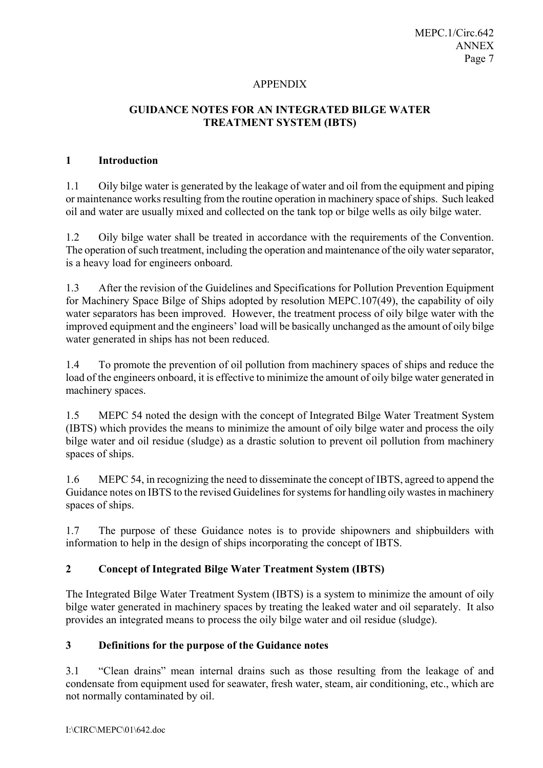#### APPENDIX

## **GUIDANCE NOTES FOR AN INTEGRATED BILGE WATER TREATMENT SYSTEM (IBTS)**

#### **1 Introduction**

1.1 Oily bilge water is generated by the leakage of water and oil from the equipment and piping or maintenance works resulting from the routine operation in machinery space of ships. Such leaked oil and water are usually mixed and collected on the tank top or bilge wells as oily bilge water.

1.2 Oily bilge water shall be treated in accordance with the requirements of the Convention. The operation of such treatment, including the operation and maintenance of the oily water separator, is a heavy load for engineers onboard.

1.3 After the revision of the Guidelines and Specifications for Pollution Prevention Equipment for Machinery Space Bilge of Ships adopted by resolution MEPC.107(49), the capability of oily water separators has been improved. However, the treatment process of oily bilge water with the improved equipment and the engineers' load will be basically unchanged as the amount of oily bilge water generated in ships has not been reduced.

1.4 To promote the prevention of oil pollution from machinery spaces of ships and reduce the load of the engineers onboard, it is effective to minimize the amount of oily bilge water generated in machinery spaces.

1.5 MEPC 54 noted the design with the concept of Integrated Bilge Water Treatment System (IBTS) which provides the means to minimize the amount of oily bilge water and process the oily bilge water and oil residue (sludge) as a drastic solution to prevent oil pollution from machinery spaces of ships.

1.6 MEPC 54, in recognizing the need to disseminate the concept of IBTS, agreed to append the Guidance notes on IBTS to the revised Guidelines for systems for handling oily wastes in machinery spaces of ships.

1.7 The purpose of these Guidance notes is to provide shipowners and shipbuilders with information to help in the design of ships incorporating the concept of IBTS.

## **2 Concept of Integrated Bilge Water Treatment System (IBTS)**

The Integrated Bilge Water Treatment System (IBTS) is a system to minimize the amount of oily bilge water generated in machinery spaces by treating the leaked water and oil separately. It also provides an integrated means to process the oily bilge water and oil residue (sludge).

## **3 Definitions for the purpose of the Guidance notes**

3.1 "Clean drains" mean internal drains such as those resulting from the leakage of and condensate from equipment used for seawater, fresh water, steam, air conditioning, etc., which are not normally contaminated by oil.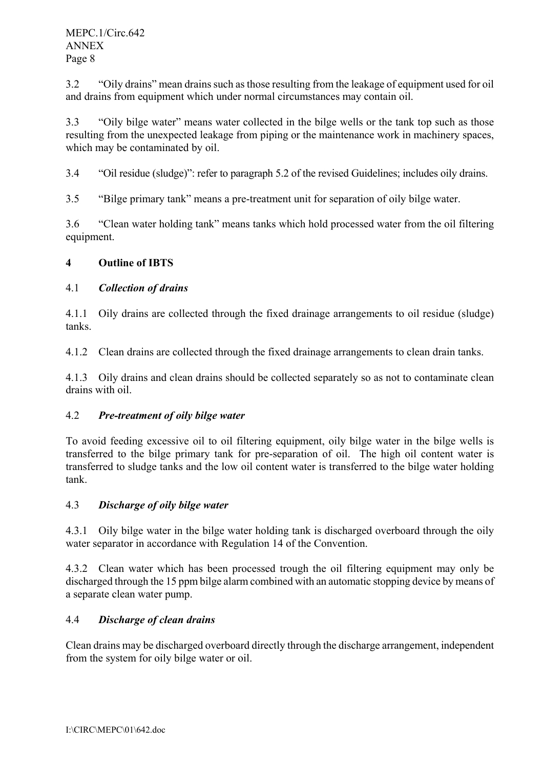3.2 "Oily drains" mean drains such as those resulting from the leakage of equipment used for oil and drains from equipment which under normal circumstances may contain oil.

3.3 "Oily bilge water" means water collected in the bilge wells or the tank top such as those resulting from the unexpected leakage from piping or the maintenance work in machinery spaces, which may be contaminated by oil.

3.4 "Oil residue (sludge)": refer to paragraph 5.2 of the revised Guidelines; includes oily drains.

3.5 **••**Bilge primary tank" means a pre-treatment unit for separation of oily bilge water.

3.6 —Clean water holding tank" means tanks which hold processed water from the oil filtering equipment.

# **4 Outline of IBTS**

# 4.1 *Collection of drains*

4.1.1 Oily drains are collected through the fixed drainage arrangements to oil residue (sludge) tanks.

4.1.2 Clean drains are collected through the fixed drainage arrangements to clean drain tanks.

4.1.3 Oily drains and clean drains should be collected separately so as not to contaminate clean drains with oil.

## 4.2 *Pre-treatment of oily bilge water*

To avoid feeding excessive oil to oil filtering equipment, oily bilge water in the bilge wells is transferred to the bilge primary tank for pre-separation of oil. The high oil content water is transferred to sludge tanks and the low oil content water is transferred to the bilge water holding tank.

# 4.3 *Discharge of oily bilge water*

4.3.1 Oily bilge water in the bilge water holding tank is discharged overboard through the oily water separator in accordance with Regulation 14 of the Convention.

4.3.2 Clean water which has been processed trough the oil filtering equipment may only be discharged through the 15 ppm bilge alarm combined with an automatic stopping device by means of a separate clean water pump.

# 4.4 *Discharge of clean drains*

Clean drains may be discharged overboard directly through the discharge arrangement, independent from the system for oily bilge water or oil.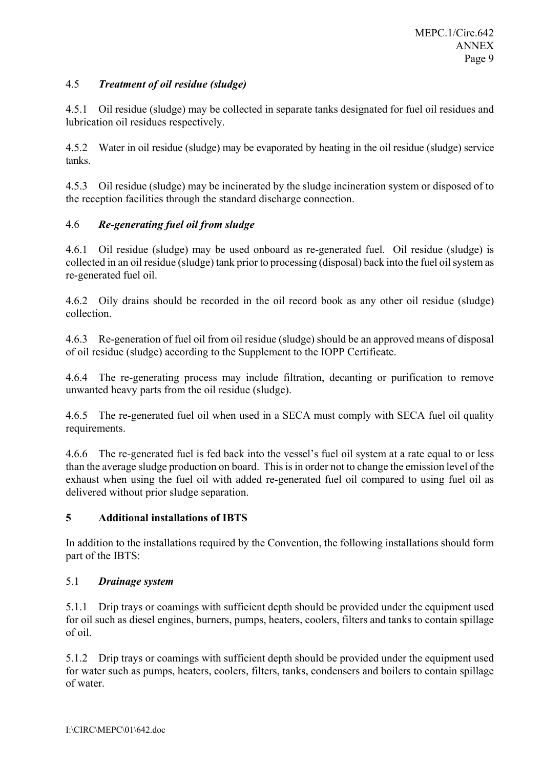## 4.5 *Treatment of oil residue (sludge)*

4.5.1 Oil residue (sludge) may be collected in separate tanks designated for fuel oil residues and lubrication oil residues respectively.

4.5.2 Water in oil residue (sludge) may be evaporated by heating in the oil residue (sludge) service tanks.

4.5.3 Oil residue (sludge) may be incinerated by the sludge incineration system or disposed of to the reception facilities through the standard discharge connection.

## 4.6 *Re-generating fuel oil from sludge*

4.6.1 Oil residue (sludge) may be used onboard as re-generated fuel. Oil residue (sludge) is collected in an oil residue (sludge) tank prior to processing (disposal) back into the fuel oil system as re-generated fuel oil.

4.6.2 Oily drains should be recorded in the oil record book as any other oil residue (sludge) collection.

4.6.3 Re-generation of fuel oil from oil residue (sludge) should be an approved means of disposal of oil residue (sludge) according to the Supplement to the IOPP Certificate.

4.6.4 The re-generating process may include filtration, decanting or purification to remove unwanted heavy parts from the oil residue (sludge).

4.6.5 The re-generated fuel oil when used in a SECA must comply with SECA fuel oil quality requirements.

4.6.6 The re-generated fuel is fed back into the vessel's fuel oil system at a rate equal to or less than the average sludge production on board. This is in order not to change the emission level of the exhaust when using the fuel oil with added re-generated fuel oil compared to using fuel oil as delivered without prior sludge separation.

## **5 Additional installations of IBTS**

In addition to the installations required by the Convention, the following installations should form part of the IBTS:

## 5.1 *Drainage system*

5.1.1 Drip trays or coamings with sufficient depth should be provided under the equipment used for oil such as diesel engines, burners, pumps, heaters, coolers, filters and tanks to contain spillage of oil.

5.1.2 Drip trays or coamings with sufficient depth should be provided under the equipment used for water such as pumps, heaters, coolers, filters, tanks, condensers and boilers to contain spillage of water.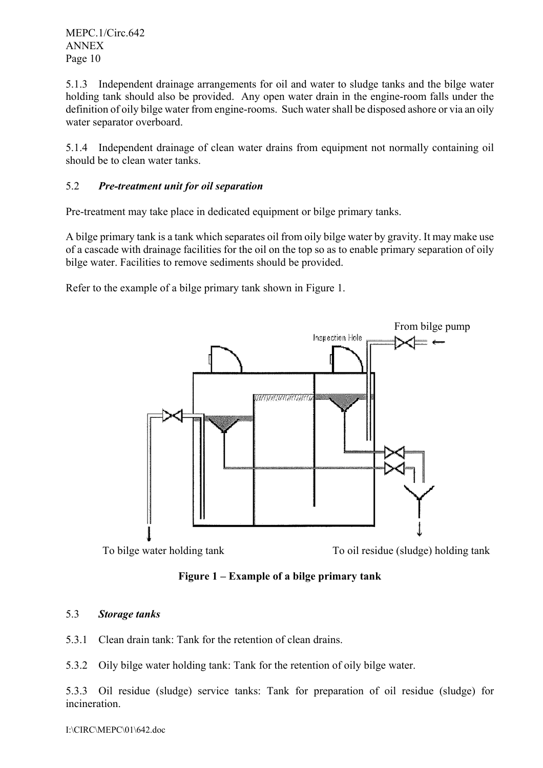MEPC.1/Circ.642 ANNEX Page 10

5.1.3 Independent drainage arrangements for oil and water to sludge tanks and the bilge water holding tank should also be provided. Any open water drain in the engine-room falls under the definition of oily bilge water from engine-rooms. Such water shall be disposed ashore or via an oily water separator overboard.

5.1.4 Independent drainage of clean water drains from equipment not normally containing oil should be to clean water tanks.

## 5.2 *Pre-treatment unit for oil separation*

Pre-treatment may take place in dedicated equipment or bilge primary tanks.

A bilge primary tank is a tank which separates oil from oily bilge water by gravity. It may make use of a cascade with drainage facilities for the oil on the top so as to enable primary separation of oily bilge water. Facilities to remove sediments should be provided.

Refer to the example of a bilge primary tank shown in Figure 1.



Figure 1 – Example of a bilge primary tank

## 5.3 *Storage tanks*

- 5.3.1 Clean drain tank: Tank for the retention of clean drains.
- 5.3.2 Oily bilge water holding tank: Tank for the retention of oily bilge water.

5.3.3 Oil residue (sludge) service tanks: Tank for preparation of oil residue (sludge) for incineration.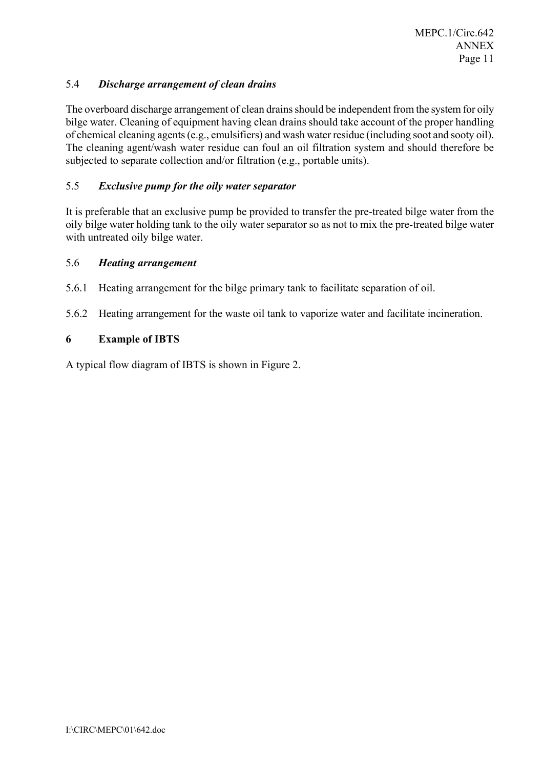### 5.4 *Discharge arrangement of clean drains*

The overboard discharge arrangement of clean drains should be independent from the system for oily bilge water. Cleaning of equipment having clean drains should take account of the proper handling of chemical cleaning agents (e.g., emulsifiers) and wash water residue (including soot and sooty oil). The cleaning agent/wash water residue can foul an oil filtration system and should therefore be subjected to separate collection and/or filtration (e.g., portable units).

### 5.5 *Exclusive pump for the oily water separator*

It is preferable that an exclusive pump be provided to transfer the pre-treated bilge water from the oily bilge water holding tank to the oily water separator so as not to mix the pre-treated bilge water with untreated oily bilge water.

#### 5.6 *Heating arrangement*

- 5.6.1 Heating arrangement for the bilge primary tank to facilitate separation of oil.
- 5.6.2 Heating arrangement for the waste oil tank to vaporize water and facilitate incineration.

### **6 Example of IBTS**

A typical flow diagram of IBTS is shown in Figure 2.